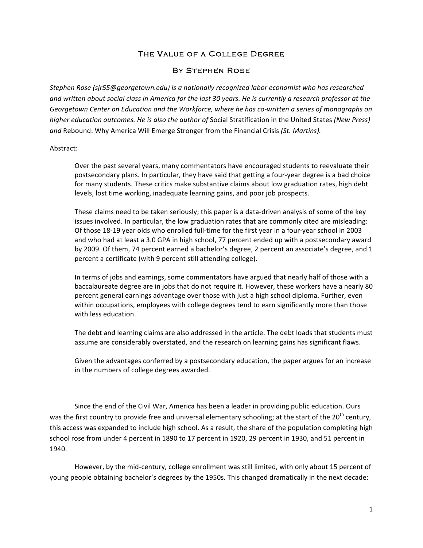# The Value of a College Degree

## By Stephen Rose

Stephen Rose (sjr55@georgetown.edu) is a nationally recognized labor economist who has researched and written about social class in America for the last 30 years. He is currently a research professor at the Georgetown Center on Education and the Workforce, where he has co-written a series of monographs on *higher education outcomes. He is also the author of Social Stratification in the United States (New Press)* and Rebound: Why America Will Emerge Stronger from the Financial Crisis *(St. Martins).* 

#### Abstract:

Over the past several years, many commentators have encouraged students to reevaluate their postsecondary plans. In particular, they have said that getting a four-year degree is a bad choice for many students. These critics make substantive claims about low graduation rates, high debt levels, lost time working, inadequate learning gains, and poor job prospects.

These claims need to be taken seriously; this paper is a data-driven analysis of some of the key issues involved. In particular, the low graduation rates that are commonly cited are misleading: Of those 18-19 year olds who enrolled full-time for the first year in a four-year school in 2003 and who had at least a 3.0 GPA in high school, 77 percent ended up with a postsecondary award by 2009. Of them, 74 percent earned a bachelor's degree, 2 percent an associate's degree, and 1 percent a certificate (with 9 percent still attending college).

In terms of jobs and earnings, some commentators have argued that nearly half of those with a baccalaureate degree are in jobs that do not require it. However, these workers have a nearly 80 percent general earnings advantage over those with just a high school diploma. Further, even within occupations, employees with college degrees tend to earn significantly more than those with less education.

The debt and learning claims are also addressed in the article. The debt loads that students must assume are considerably overstated, and the research on learning gains has significant flaws.

Given the advantages conferred by a postsecondary education, the paper argues for an increase in the numbers of college degrees awarded.

Since the end of the Civil War, America has been a leader in providing public education. Ours was the first country to provide free and universal elementary schooling; at the start of the 20<sup>th</sup> century, this access was expanded to include high school. As a result, the share of the population completing high school rose from under 4 percent in 1890 to 17 percent in 1920, 29 percent in 1930, and 51 percent in 1940.

However, by the mid-century, college enrollment was still limited, with only about 15 percent of young people obtaining bachelor's degrees by the 1950s. This changed dramatically in the next decade: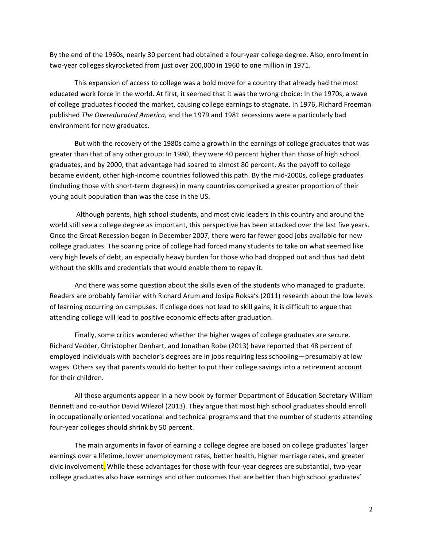By the end of the 1960s, nearly 30 percent had obtained a four-year college degree. Also, enrollment in two-year colleges skyrocketed from just over 200,000 in 1960 to one million in 1971.

This expansion of access to college was a bold move for a country that already had the most educated work force in the world. At first, it seemed that it was the wrong choice: In the 1970s, a wave of college graduates flooded the market, causing college earnings to stagnate. In 1976, Richard Freeman published *The Overeducated America*, and the 1979 and 1981 recessions were a particularly bad environment for new graduates.

But with the recovery of the 1980s came a growth in the earnings of college graduates that was greater than that of any other group: In 1980, they were 40 percent higher than those of high school graduates, and by 2000, that advantage had soared to almost 80 percent. As the payoff to college became evident, other high-income countries followed this path. By the mid-2000s, college graduates (including those with short-term degrees) in many countries comprised a greater proportion of their young adult population than was the case in the US.

Although parents, high school students, and most civic leaders in this country and around the world still see a college degree as important, this perspective has been attacked over the last five years. Once the Great Recession began in December 2007, there were far fewer good jobs available for new college graduates. The soaring price of college had forced many students to take on what seemed like very high levels of debt, an especially heavy burden for those who had dropped out and thus had debt without the skills and credentials that would enable them to repay it.

And there was some question about the skills even of the students who managed to graduate. Readers are probably familiar with Richard Arum and Josipa Roksa's (2011) research about the low levels of learning occurring on campuses. If college does not lead to skill gains, it is difficult to argue that attending college will lead to positive economic effects after graduation.

Finally, some critics wondered whether the higher wages of college graduates are secure. Richard Vedder, Christopher Denhart, and Jonathan Robe (2013) have reported that 48 percent of employed individuals with bachelor's degrees are in jobs requiring less schooling—presumably at low wages. Others say that parents would do better to put their college savings into a retirement account for their children.

All these arguments appear in a new book by former Department of Education Secretary William Bennett and co-author David Wilezol (2013). They argue that most high school graduates should enroll in occupationally oriented vocational and technical programs and that the number of students attending four-year colleges should shrink by 50 percent.

The main arguments in favor of earning a college degree are based on college graduates' larger earnings over a lifetime, lower unemployment rates, better health, higher marriage rates, and greater civic involvement. While these advantages for those with four-year degrees are substantial, two-year college graduates also have earnings and other outcomes that are better than high school graduates'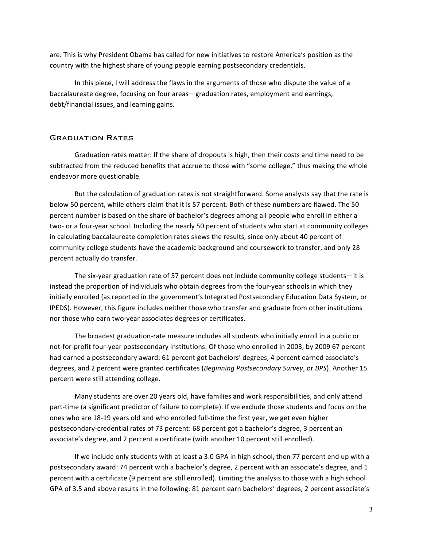are. This is why President Obama has called for new initiatives to restore America's position as the country with the highest share of young people earning postsecondary credentials.

In this piece, I will address the flaws in the arguments of those who dispute the value of a baccalaureate degree, focusing on four areas—graduation rates, employment and earnings, debt/financial issues, and learning gains.

## Graduation Rates

Graduation rates matter: If the share of dropouts is high, then their costs and time need to be subtracted from the reduced benefits that accrue to those with "some college," thus making the whole endeavor more questionable.

But the calculation of graduation rates is not straightforward. Some analysts say that the rate is below 50 percent, while others claim that it is 57 percent. Both of these numbers are flawed. The 50 percent number is based on the share of bachelor's degrees among all people who enroll in either a two- or a four-year school. Including the nearly 50 percent of students who start at community colleges in calculating baccalaureate completion rates skews the results, since only about 40 percent of community college students have the academic background and coursework to transfer, and only 28 percent actually do transfer.

The six-year graduation rate of 57 percent does not include community college students—it is instead the proportion of individuals who obtain degrees from the four-year schools in which they initially enrolled (as reported in the government's Integrated Postsecondary Education Data System, or IPEDS). However, this figure includes neither those who transfer and graduate from other institutions nor those who earn two-year associates degrees or certificates.

The broadest graduation-rate measure includes all students who initially enroll in a public or not-for-profit four-year postsecondary institutions. Of those who enrolled in 2003, by 2009 67 percent had earned a postsecondary award: 61 percent got bachelors' degrees, 4 percent earned associate's degrees, and 2 percent were granted certificates (*Beginning Postsecondary Survey*, or *BPS*). Another 15 percent were still attending college.

Many students are over 20 years old, have families and work responsibilities, and only attend part-time (a significant predictor of failure to complete). If we exclude those students and focus on the ones who are 18-19 years old and who enrolled full-time the first year, we get even higher postsecondary-credential rates of 73 percent: 68 percent got a bachelor's degree, 3 percent an associate's degree, and 2 percent a certificate (with another 10 percent still enrolled).

If we include only students with at least a 3.0 GPA in high school, then 77 percent end up with a postsecondary award: 74 percent with a bachelor's degree, 2 percent with an associate's degree, and 1 percent with a certificate (9 percent are still enrolled). Limiting the analysis to those with a high school GPA of 3.5 and above results in the following: 81 percent earn bachelors' degrees, 2 percent associate's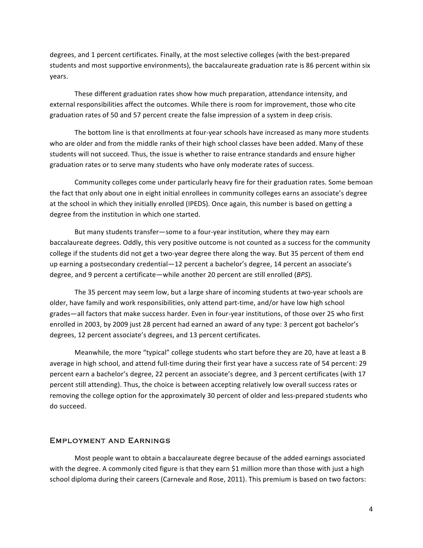degrees, and 1 percent certificates. Finally, at the most selective colleges (with the best-prepared students and most supportive environments), the baccalaureate graduation rate is 86 percent within six years.

These different graduation rates show how much preparation, attendance intensity, and external responsibilities affect the outcomes. While there is room for improvement, those who cite graduation rates of 50 and 57 percent create the false impression of a system in deep crisis.

The bottom line is that enrollments at four-year schools have increased as many more students who are older and from the middle ranks of their high school classes have been added. Many of these students will not succeed. Thus, the issue is whether to raise entrance standards and ensure higher graduation rates or to serve many students who have only moderate rates of success.

Community colleges come under particularly heavy fire for their graduation rates. Some bemoan the fact that only about one in eight initial enrollees in community colleges earns an associate's degree at the school in which they initially enrolled (IPEDS). Once again, this number is based on getting a degree from the institution in which one started.

But many students transfer-some to a four-year institution, where they may earn baccalaureate degrees. Oddly, this very positive outcome is not counted as a success for the community college if the students did not get a two-year degree there along the way. But 35 percent of them end up earning a postsecondary credential—12 percent a bachelor's degree, 14 percent an associate's degree, and 9 percent a certificate—while another 20 percent are still enrolled (*BPS*).

The 35 percent may seem low, but a large share of incoming students at two-year schools are older, have family and work responsibilities, only attend part-time, and/or have low high school grades—all factors that make success harder. Even in four-year institutions, of those over 25 who first enrolled in 2003, by 2009 just 28 percent had earned an award of any type: 3 percent got bachelor's degrees, 12 percent associate's degrees, and 13 percent certificates.

Meanwhile, the more "typical" college students who start before they are 20, have at least a B average in high school, and attend full-time during their first year have a success rate of 54 percent: 29 percent earn a bachelor's degree, 22 percent an associate's degree, and 3 percent certificates (with 17 percent still attending). Thus, the choice is between accepting relatively low overall success rates or removing the college option for the approximately 30 percent of older and less-prepared students who do succeed.

#### Employment and Earnings

Most people want to obtain a baccalaureate degree because of the added earnings associated with the degree. A commonly cited figure is that they earn \$1 million more than those with just a high school diploma during their careers (Carnevale and Rose, 2011). This premium is based on two factors: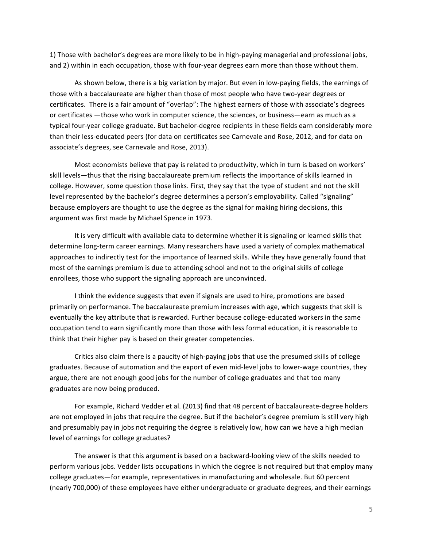1) Those with bachelor's degrees are more likely to be in high-paying managerial and professional jobs, and 2) within in each occupation, those with four-year degrees earn more than those without them.

As shown below, there is a big variation by major. But even in low-paying fields, the earnings of those with a baccalaureate are higher than those of most people who have two-year degrees or certificates. There is a fair amount of "overlap": The highest earners of those with associate's degrees or certificates —those who work in computer science, the sciences, or business—earn as much as a typical four-year college graduate. But bachelor-degree recipients in these fields earn considerably more than their less-educated peers (for data on certificates see Carnevale and Rose, 2012, and for data on associate's degrees, see Carnevale and Rose, 2013).

Most economists believe that pay is related to productivity, which in turn is based on workers' skill levels—thus that the rising baccalaureate premium reflects the importance of skills learned in college. However, some question those links. First, they say that the type of student and not the skill level represented by the bachelor's degree determines a person's employability. Called "signaling" because employers are thought to use the degree as the signal for making hiring decisions, this argument was first made by Michael Spence in 1973.

It is very difficult with available data to determine whether it is signaling or learned skills that determine long-term career earnings. Many researchers have used a variety of complex mathematical approaches to indirectly test for the importance of learned skills. While they have generally found that most of the earnings premium is due to attending school and not to the original skills of college enrollees, those who support the signaling approach are unconvinced.

I think the evidence suggests that even if signals are used to hire, promotions are based primarily on performance. The baccalaureate premium increases with age, which suggests that skill is eventually the key attribute that is rewarded. Further because college-educated workers in the same occupation tend to earn significantly more than those with less formal education, it is reasonable to think that their higher pay is based on their greater competencies.

Critics also claim there is a paucity of high-paying jobs that use the presumed skills of college graduates. Because of automation and the export of even mid-level jobs to lower-wage countries, they argue, there are not enough good jobs for the number of college graduates and that too many graduates are now being produced.

For example, Richard Vedder et al. (2013) find that 48 percent of baccalaureate-degree holders are not employed in jobs that require the degree. But if the bachelor's degree premium is still very high and presumably pay in jobs not requiring the degree is relatively low, how can we have a high median level of earnings for college graduates?

The answer is that this argument is based on a backward-looking view of the skills needed to perform various jobs. Vedder lists occupations in which the degree is not required but that employ many college graduates—for example, representatives in manufacturing and wholesale. But 60 percent (nearly 700,000) of these employees have either undergraduate or graduate degrees, and their earnings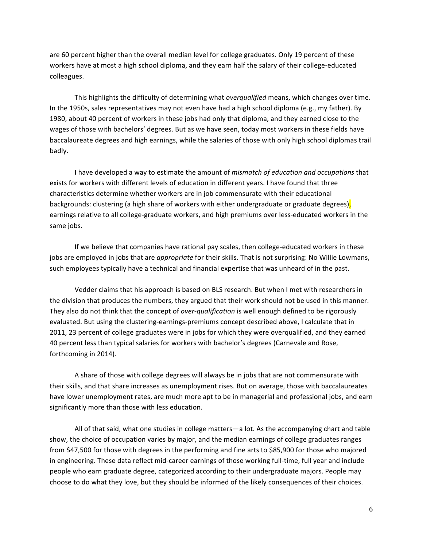are 60 percent higher than the overall median level for college graduates. Only 19 percent of these workers have at most a high school diploma, and they earn half the salary of their college-educated colleagues.

This highlights the difficulty of determining what *overqualified* means, which changes over time. In the 1950s, sales representatives may not even have had a high school diploma (e.g., my father). By 1980, about 40 percent of workers in these jobs had only that diploma, and they earned close to the wages of those with bachelors' degrees. But as we have seen, today most workers in these fields have baccalaureate degrees and high earnings, while the salaries of those with only high school diplomas trail badly.

I have developed a way to estimate the amount of *mismatch of education and occupations* that exists for workers with different levels of education in different years. I have found that three characteristics determine whether workers are in job commensurate with their educational backgrounds: clustering (a high share of workers with either undergraduate or graduate degrees), earnings relative to all college-graduate workers, and high premiums over less-educated workers in the same jobs.

If we believe that companies have rational pay scales, then college-educated workers in these jobs are employed in jobs that are *appropriate* for their skills. That is not surprising: No Willie Lowmans, such employees typically have a technical and financial expertise that was unheard of in the past.

Vedder claims that his approach is based on BLS research. But when I met with researchers in the division that produces the numbers, they argued that their work should not be used in this manner. They also do not think that the concept of *over-qualification* is well enough defined to be rigorously evaluated. But using the clustering-earnings-premiums concept described above, I calculate that in 2011, 23 percent of college graduates were in jobs for which they were overqualified, and they earned 40 percent less than typical salaries for workers with bachelor's degrees (Carnevale and Rose, forthcoming in 2014).

A share of those with college degrees will always be in jobs that are not commensurate with their skills, and that share increases as unemployment rises. But on average, those with baccalaureates have lower unemployment rates, are much more apt to be in managerial and professional jobs, and earn significantly more than those with less education.

All of that said, what one studies in college matters—a lot. As the accompanying chart and table show, the choice of occupation varies by major, and the median earnings of college graduates ranges from \$47,500 for those with degrees in the performing and fine arts to \$85,900 for those who majored in engineering. These data reflect mid-career earnings of those working full-time, full year and include people who earn graduate degree, categorized according to their undergraduate majors. People may choose to do what they love, but they should be informed of the likely consequences of their choices.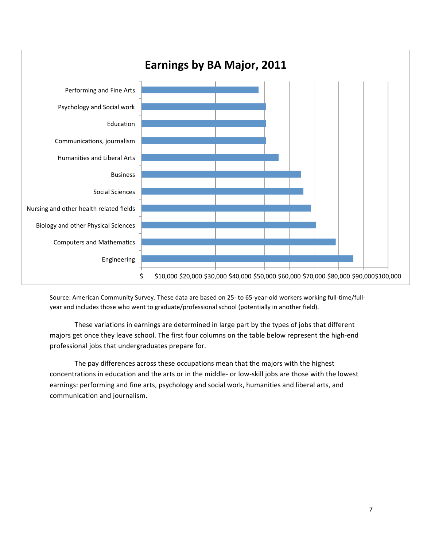

Source: American Community Survey. These data are based on 25- to 65-year-old workers working full-time/fullyear and includes those who went to graduate/professional school (potentially in another field).

These variations in earnings are determined in large part by the types of jobs that different majors get once they leave school. The first four columns on the table below represent the high-end professional jobs that undergraduates prepare for.

The pay differences across these occupations mean that the majors with the highest concentrations in education and the arts or in the middle- or low-skill jobs are those with the lowest earnings: performing and fine arts, psychology and social work, humanities and liberal arts, and communication and journalism.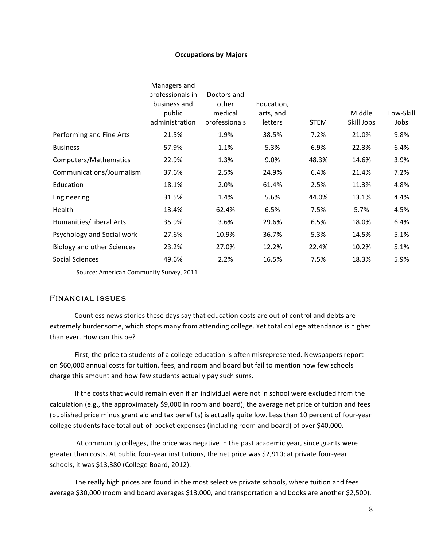#### **Occupations by Majors**

|                                   | Managers and<br>professionals in<br>business and<br>public<br>administration | Doctors and<br>other<br>medical<br>professionals | Education,<br>arts, and<br>letters | <b>STEM</b> | Middle<br>Skill Jobs | Low-Skill<br>Jobs |
|-----------------------------------|------------------------------------------------------------------------------|--------------------------------------------------|------------------------------------|-------------|----------------------|-------------------|
| Performing and Fine Arts          | 21.5%                                                                        | 1.9%                                             | 38.5%                              | 7.2%        | 21.0%                | 9.8%              |
| <b>Business</b>                   | 57.9%                                                                        | 1.1%                                             | 5.3%                               | 6.9%        | 22.3%                | 6.4%              |
| Computers/Mathematics             | 22.9%                                                                        | 1.3%                                             | 9.0%                               | 48.3%       | 14.6%                | 3.9%              |
| Communications/Journalism         | 37.6%                                                                        | 2.5%                                             | 24.9%                              | 6.4%        | 21.4%                | 7.2%              |
| Education                         | 18.1%                                                                        | 2.0%                                             | 61.4%                              | 2.5%        | 11.3%                | 4.8%              |
| Engineering                       | 31.5%                                                                        | 1.4%                                             | 5.6%                               | 44.0%       | 13.1%                | 4.4%              |
| Health                            | 13.4%                                                                        | 62.4%                                            | 6.5%                               | 7.5%        | 5.7%                 | 4.5%              |
| Humanities/Liberal Arts           | 35.9%                                                                        | 3.6%                                             | 29.6%                              | 6.5%        | 18.0%                | 6.4%              |
| Psychology and Social work        | 27.6%                                                                        | 10.9%                                            | 36.7%                              | 5.3%        | 14.5%                | 5.1%              |
| <b>Biology and other Sciences</b> | 23.2%                                                                        | 27.0%                                            | 12.2%                              | 22.4%       | 10.2%                | 5.1%              |
| <b>Social Sciences</b>            | 49.6%                                                                        | 2.2%                                             | 16.5%                              | 7.5%        | 18.3%                | 5.9%              |

Source: American Community Survey, 2011

### Financial Issues

Countless news stories these days say that education costs are out of control and debts are extremely burdensome, which stops many from attending college. Yet total college attendance is higher than ever. How can this be?

First, the price to students of a college education is often misrepresented. Newspapers report on \$60,000 annual costs for tuition, fees, and room and board but fail to mention how few schools charge this amount and how few students actually pay such sums.

If the costs that would remain even if an individual were not in school were excluded from the calculation (e.g., the approximately \$9,000 in room and board), the average net price of tuition and fees (published price minus grant aid and tax benefits) is actually quite low. Less than 10 percent of four-year college students face total out-of-pocket expenses (including room and board) of over \$40,000.

At community colleges, the price was negative in the past academic year, since grants were greater than costs. At public four-year institutions, the net price was \$2,910; at private four-year schools, it was \$13,380 (College Board, 2012).

The really high prices are found in the most selective private schools, where tuition and fees average \$30,000 (room and board averages \$13,000, and transportation and books are another \$2,500).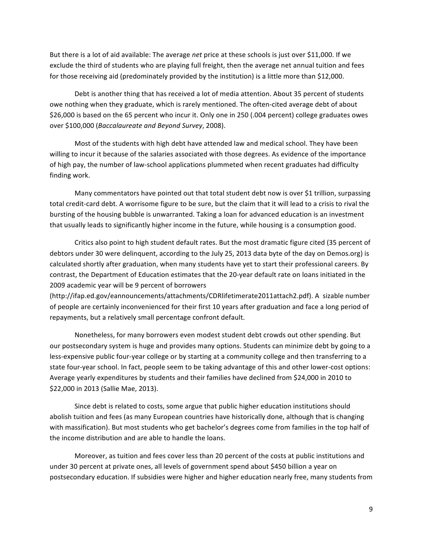But there is a lot of aid available: The average *net* price at these schools is just over \$11,000. If we exclude the third of students who are playing full freight, then the average net annual tuition and fees for those receiving aid (predominately provided by the institution) is a little more than \$12,000.

Debt is another thing that has received a lot of media attention. About 35 percent of students owe nothing when they graduate, which is rarely mentioned. The often-cited average debt of about \$26,000 is based on the 65 percent who incur it. Only one in 250 (.004 percent) college graduates owes over \$100,000 (*Baccalaureate and Beyond Survey*, 2008).

Most of the students with high debt have attended law and medical school. They have been willing to incur it because of the salaries associated with those degrees. As evidence of the importance of high pay, the number of law-school applications plummeted when recent graduates had difficulty finding work.

Many commentators have pointed out that total student debt now is over \$1 trillion, surpassing total credit-card debt. A worrisome figure to be sure, but the claim that it will lead to a crisis to rival the bursting of the housing bubble is unwarranted. Taking a loan for advanced education is an investment that usually leads to significantly higher income in the future, while housing is a consumption good.

Critics also point to high student default rates. But the most dramatic figure cited (35 percent of debtors under 30 were delinguent, according to the July 25, 2013 data byte of the day on Demos.org) is calculated shortly after graduation, when many students have yet to start their professional careers. By contrast, the Department of Education estimates that the 20-year default rate on loans initiated in the 2009 academic year will be 9 percent of borrowers

(http://ifap.ed.gov/eannouncements/attachments/CDRlifetimerate2011attach2.pdf). A sizable number of people are certainly inconvenienced for their first 10 years after graduation and face a long period of repayments, but a relatively small percentage confront default.

Nonetheless, for many borrowers even modest student debt crowds out other spending. But our postsecondary system is huge and provides many options. Students can minimize debt by going to a less-expensive public four-year college or by starting at a community college and then transferring to a state four-year school. In fact, people seem to be taking advantage of this and other lower-cost options: Average yearly expenditures by students and their families have declined from \$24,000 in 2010 to \$22,000 in 2013 (Sallie Mae, 2013).

Since debt is related to costs, some argue that public higher education institutions should abolish tuition and fees (as many European countries have historically done, although that is changing with massification). But most students who get bachelor's degrees come from families in the top half of the income distribution and are able to handle the loans.

Moreover, as tuition and fees cover less than 20 percent of the costs at public institutions and under 30 percent at private ones, all levels of government spend about \$450 billion a year on postsecondary education. If subsidies were higher and higher education nearly free, many students from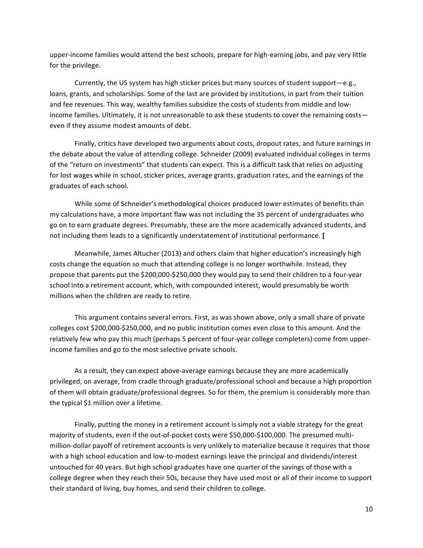upper-income families would attend the best schools, prepare for high-earning jobs, and pay very little for the privilege.

Currently, the US system has high sticker prices but many sources of student support—e.g., loans, grants, and scholarships. Some of the last are provided by institutions, in part from their tuition and fee revenues. This way, wealthy families subsidize the costs of students from middle and lowincome families. Ultimately, it is not unreasonable to ask these students to cover the remaining costs even if they assume modest amounts of debt.

Finally, critics have developed two arguments about costs, dropout rates, and future earnings in the debate about the value of attending college. Schneider (2009) evaluated individual colleges in terms of the "return on investments" that students can expect. This is a difficult task that relies on adjusting for lost wages while in school, sticker prices, average grants, graduation rates, and the earnings of the graduates of each school.

While some of Schneider's methodological choices produced lower estimates of benefits than my calculations have, a more important flaw was not including the 35 percent of undergraduates who go on to earn graduate degrees. Presumably, these are the more academically advanced students, and not including them leads to a significantly understatement of institutional performance. [

Meanwhile, James Altucher (2013) and others claim that higher education's increasingly high costs change the equation so much that attending college is no longer worthwhile. Instead, they propose that parents put the \$200,000-\$250,000 they would pay to send their children to a four-year school into a retirement account, which, with compounded interest, would presumably be worth millions when the children are ready to retire.

This argument contains several errors. First, as was shown above, only a small share of private colleges cost \$200,000-\$250,000, and no public institution comes even close to this amount. And the relatively few who pay this much (perhaps 5 percent of four-year college completers) come from upperincome families and go to the most selective private schools.

As a result, they can expect above-average earnings because they are more academically privileged, on average, from cradle through graduate/professional school and because a high proportion of them will obtain graduate/professional degrees. So for them, the premium is considerably more than the typical \$1 million over a lifetime.

Finally, putting the money in a retirement account is simply not a viable strategy for the great majority of students, even if the out-of-pocket costs were \$50,000-\$100,000. The presumed multimillion-dollar payoff of retirement accounts is very unlikely to materialize because it requires that those with a high school education and low-to-modest earnings leave the principal and dividends/interest untouched for 40 years. But high school graduates have one quarter of the savings of those with a college degree when they reach their 50s, because they have used most or all of their income to support their standard of living, buy homes, and send their children to college.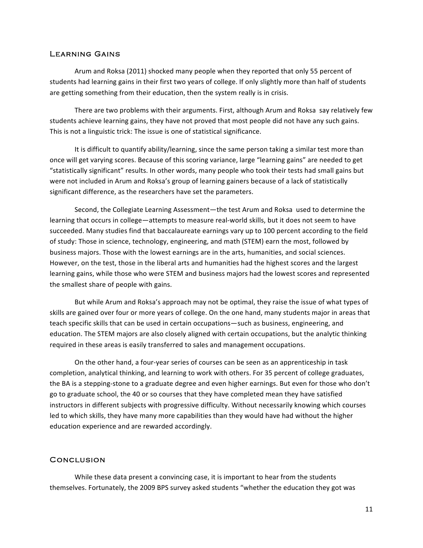## Learning Gains

Arum and Roksa (2011) shocked many people when they reported that only 55 percent of students had learning gains in their first two years of college. If only slightly more than half of students are getting something from their education, then the system really is in crisis.

There are two problems with their arguments. First, although Arum and Roksa say relatively few students achieve learning gains, they have not proved that most people did not have any such gains. This is not a linguistic trick: The issue is one of statistical significance.

It is difficult to quantify ability/learning, since the same person taking a similar test more than once will get varying scores. Because of this scoring variance, large "learning gains" are needed to get "statistically significant" results. In other words, many people who took their tests had small gains but were not included in Arum and Roksa's group of learning gainers because of a lack of statistically significant difference, as the researchers have set the parameters.

Second, the Collegiate Learning Assessment—the test Arum and Roksa used to determine the learning that occurs in college—attempts to measure real-world skills, but it does not seem to have succeeded. Many studies find that baccalaureate earnings vary up to 100 percent according to the field of study: Those in science, technology, engineering, and math (STEM) earn the most, followed by business majors. Those with the lowest earnings are in the arts, humanities, and social sciences. However, on the test, those in the liberal arts and humanities had the highest scores and the largest learning gains, while those who were STEM and business majors had the lowest scores and represented the smallest share of people with gains.

But while Arum and Roksa's approach may not be optimal, they raise the issue of what types of skills are gained over four or more years of college. On the one hand, many students major in areas that teach specific skills that can be used in certain occupations—such as business, engineering, and education. The STEM majors are also closely aligned with certain occupations, but the analytic thinking required in these areas is easily transferred to sales and management occupations.

On the other hand, a four-year series of courses can be seen as an apprenticeship in task completion, analytical thinking, and learning to work with others. For 35 percent of college graduates, the BA is a stepping-stone to a graduate degree and even higher earnings. But even for those who don't go to graduate school, the 40 or so courses that they have completed mean they have satisfied instructors in different subjects with progressive difficulty. Without necessarily knowing which courses led to which skills, they have many more capabilities than they would have had without the higher education experience and are rewarded accordingly.

## **CONCLUSION**

While these data present a convincing case, it is important to hear from the students themselves. Fortunately, the 2009 BPS survey asked students "whether the education they got was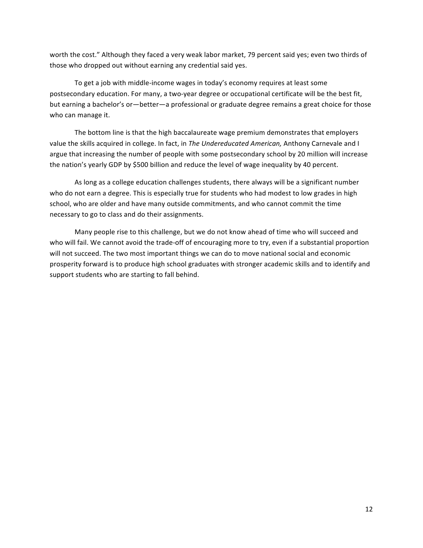worth the cost." Although they faced a very weak labor market, 79 percent said yes; even two thirds of those who dropped out without earning any credential said yes.

To get a job with middle-income wages in today's economy requires at least some postsecondary education. For many, a two-year degree or occupational certificate will be the best fit, but earning a bachelor's or—better—a professional or graduate degree remains a great choice for those who can manage it.

The bottom line is that the high baccalaureate wage premium demonstrates that employers value the skills acquired in college. In fact, in The Undereducated American, Anthony Carnevale and I argue that increasing the number of people with some postsecondary school by 20 million will increase the nation's yearly GDP by \$500 billion and reduce the level of wage inequality by 40 percent.

As long as a college education challenges students, there always will be a significant number who do not earn a degree. This is especially true for students who had modest to low grades in high school, who are older and have many outside commitments, and who cannot commit the time necessary to go to class and do their assignments.

Many people rise to this challenge, but we do not know ahead of time who will succeed and who will fail. We cannot avoid the trade-off of encouraging more to try, even if a substantial proportion will not succeed. The two most important things we can do to move national social and economic prosperity forward is to produce high school graduates with stronger academic skills and to identify and support students who are starting to fall behind.